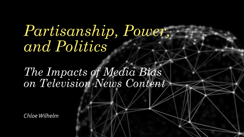*Partisanship, Power, and Politics*

*The Impacts of Media Bias on Television News Content*

*Chloe Wilhelm*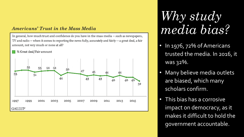#### *Americans' Trust in the Mass Media*

In general, how much trust and confidence do you have in the mass media -- such as newspapers, TV and radio -- when it comes to reporting the news fully, accurately and fairly -- a great deal, a fair amount, not very much or none at all?

% Great deal/Fair amount



*Why study media bias?*

- In 1976, 72% of Americans trusted the media. In 2016, it was 32%.
- Many believe media outlets are biased, which many scholars confirm.
- This bias has a corrosive impact on democracy, as it makes it difficult to hold the government accountable.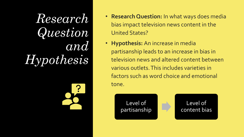*Research Question and Hypothesis*



- **Research Question:** In what ways does media bias impact television news content in the United States?
- **Hypothesis:** An increase in media partisanship leads to an increase in bias in television news and altered content between various outlets. This includes varieties in factors such as word choice and emotional tone.

Level of partisanship

Level of content bias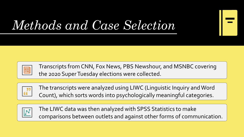

## *Methods and Case Selection*



Transcripts from CNN, Fox News, PBS Newshour, and MSNBC covering the 2020 Super Tuesday elections were collected.



The transcripts were analyzed using LIWC (Linguistic Inquiry and Word Count), which sorts words into psychologically meaningful categories.



The LIWC data was then analyzed with SPSS Statistics to make comparisons between outlets and against other forms of communication.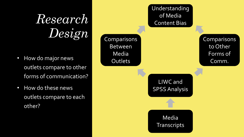*Research Design*

- How do major news outlets compare to other forms of communication?
- How do these news outlets compare to each other?

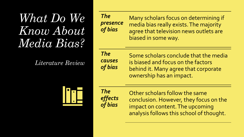## *What Do We Know About Media Bias?*

*Literature Review*

*The presence of bias* Many scholars focus on determining if media bias really exists. The majority agree that television news outlets are biased in some way.

*The causes of bias*

Some scholars conclude that the media is biased and focus on the factors behind it. Many agree that corporate ownership has an impact.



*The effects of bias*

Other scholars follow the same conclusion. However, they focus on the impact on content. The upcoming analysis follows this school of thought.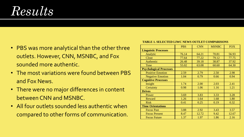### *Results*

- PBS was more analytical than the other three outlets. However, CNN, MSNBC, and Fox sounded more authentic.
- The most variations were found between PBS and Fox News.
- There were no major differences in content between CNN and MSNBC.
- All four outlets sounded less authentic when compared to other forms of communication.

#### **TABLE 1. SELECTED LIWC NEWS OUTLET COMPARISONS**

|                                | <b>PBS</b> | <b>CNN</b> | <b>MSNBC</b> | <b>FOX</b> |
|--------------------------------|------------|------------|--------------|------------|
| <b>Linguistic Processes</b>    |            |            |              |            |
| Analytic                       | 76.14      | 64.21      | 70.81        | 56.93      |
| Clout                          | 77.64      | 77.22      | 79.12        | 77.75      |
| Authentic                      | 26.48      | 39.18      | 38.87        | 37.92      |
| Tone                           | 55.02      | 63.08      | 60.60        | 64.30      |
| <b>Psychological Processes</b> |            |            |              |            |
| <b>Positive Emotion</b>        | 2.59       | 2.79       | 2.50         | 2.98       |
| <b>Negative Emotion</b>        | 1.04       | 0.79       | 0.66         | 0.94       |
| <b>Cognitive Processes</b>     |            |            |              |            |
| Insight                        | 1.74       | 2.00       | 2.03         | 2.41       |
| Certainty                      | 0.98       | 1.06       | 1.16         | 1.21       |
| <b>Drives</b>                  |            |            |              |            |
| Power                          | 3.69       | 3.83       | 3.33         | 3.28       |
| Reward                         | 1.26       | 1.64       | 1.68         | 1.80       |
| <b>Risk</b>                    | 0.41       | 0.25       | 0.19         | 0.32       |
| <b>Time Orientations</b>       |            |            |              |            |
| <b>Focus Past</b>              | 3.88       | 2.92       | 3.43         | 3.57       |
| <b>Focus Present</b>           | 8.47       | 12.72      | 9.42         | 12.67      |
| <b>Focus Future</b>            | 1.37       | 1.97       | 1.86         | 2.16       |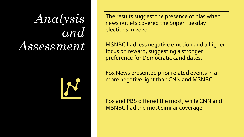# *Analysis and Assessment*



The results suggest the presence of bias when news outlets covered the Super Tuesday elections in 2020.

MSNBC had less negative emotion and a higher focus on reward, suggesting a stronger preference for Democratic candidates.

Fox News presented prior related events in a more negative light than CNN and MSNBC.

Fox and PBS differed the most, while CNN and MSNBC had the most similar coverage.